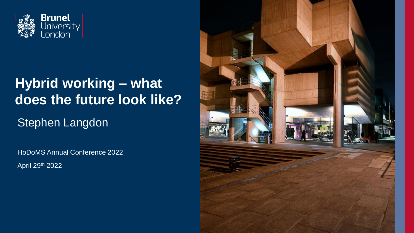

### **Hybrid working – what does the future look like?**

Stephen Langdon

HoDoMS Annual Conference 2022

April 29th 2022

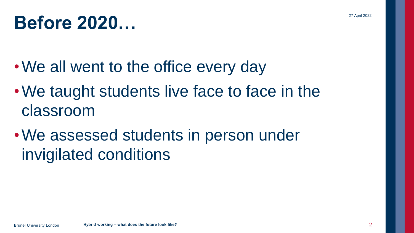## **Before 2020…**

- We all went to the office every day
- We taught students live face to face in the classroom
- •We assessed students in person under invigilated conditions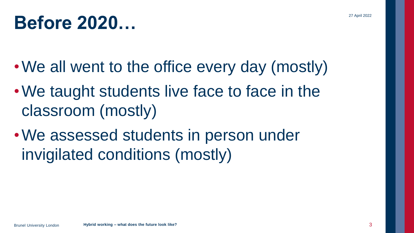## **Before 2020…**

- •We all went to the office every day (mostly)
- We taught students live face to face in the classroom (mostly)
- •We assessed students in person under invigilated conditions (mostly)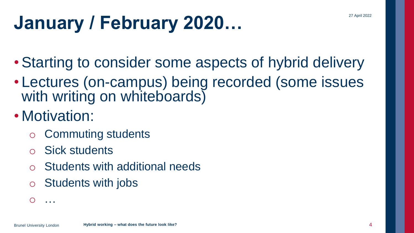# **January / February 2020…**

- Starting to consider some aspects of hybrid delivery
- Lectures (on-campus) being recorded (some issues with writing on whiteboards)
- Motivation:
	- o Commuting students
	- **Sick students**
	- Students with additional needs
	- o Students with jobs

 $O \quad \ldots$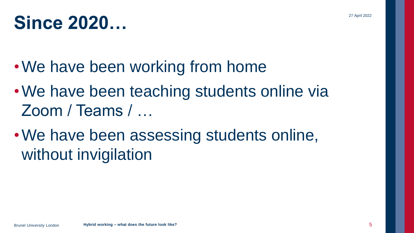## **Since 2020…**

- We have been working from home
- We have been teaching students online via Zoom / Teams / …
- •We have been assessing students online, without invigilation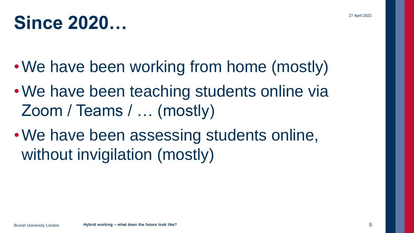## **Since 2020…**

- •We have been working from home (mostly)
- We have been teaching students online via Zoom / Teams / … (mostly)
- •We have been assessing students online, without invigilation (mostly)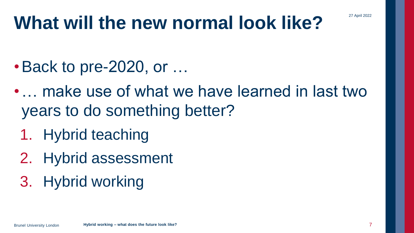## **What will the new normal look like?**

- •Back to pre-2020, or …
- make use of what we have learned in last two years to do something better?
	- 1. Hybrid teaching
	- 2. Hybrid assessment
	- 3. Hybrid working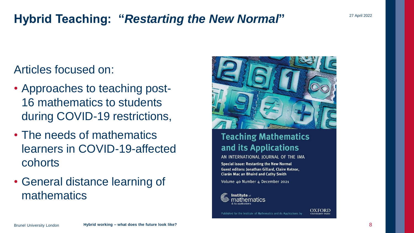### **Hybrid Teaching: "***Restarting the New Normal***"**

#### Articles focused on:

- Approaches to teaching post-16 mathematics to students during COVID-19 restrictions,
- The needs of mathematics learners in COVID-19-affected cohorts
- General distance learning of mathematics



#### **Teaching Mathematics** and its Applications

AN INTERNATIONAL JOURNAL OF THE IMA

**Special issue: Restarting the New Normal** Guest editors: Jonathan Gillard, Claire Ketnor, Ciarán Mac an Bhaird and Cathy Smith

Volume 40 Number 4 December 2021



Published for the Institute of Mathematics and its Applications by

27 April 2022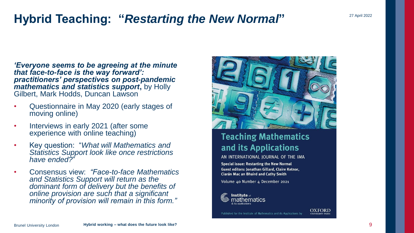### **Hybrid Teaching: "***Restarting the New Normal***"**

*'Everyone seems to be agreeing at the minute that face-to-face is the way forward': practitioners' perspectives on post-pandemic mathematics and statistics support***,** by Holly Gilbert, Mark Hodds, Duncan Lawson

- Questionnaire in May 2020 (early stages of moving online)
- Interviews in early 2021 (after some experience with online teaching)
- Key question: "*What will Mathematics and Statistics Support look like once restrictions have ended?*"
- Consensus view: *"Face-to-face Mathematics and Statistics Support will return as the dominant form of delivery but the benefits of online provision are such that a significant minority of provision will remain in this form."*



#### **Teaching Mathematics** and its Applications

AN INTERNATIONAL JOURNAL OF THE IMA

Special issue: Restarting the New Normal Guest editors: Jonathan Gillard, Claire Ketnor, Ciarán Mac an Bhaird and Cathy Smith

Published for the Institute of Mathematics and its Applications by

Volume 40 Number 4 December 2021



**OXFORD**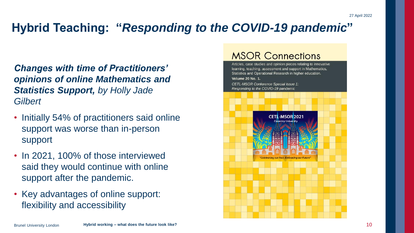### **Hybrid Teaching: "***Responding to the COVID-19 pandemic***"**

*Changes with time of Practitioners' opinions of online Mathematics and Statistics Support, by Holly Jade Gilbert*

- Initially 54% of practitioners said online support was worse than in-person support
- In 2021, 100% of those interviewed said they would continue with online support after the pandemic.
- Key advantages of online support: flexibility and accessibility

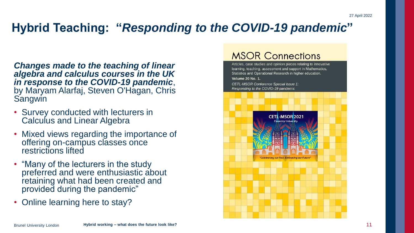### **Hybrid Teaching: "***Responding to the COVID-19 pandemic***"**

*Changes made to the teaching of linear algebra and calculus courses in the UK in response to the COVID-19 pandemic*, by Maryam Alarfaj, Steven O'Hagan, Chris Sangwin

- Survey conducted with lecturers in Calculus and Linear Algebra
- Mixed views regarding the importance of offering on-campus classes once restrictions lifted
- "Many of the lecturers in the study preferred and were enthusiastic about retaining what had been created and provided during the pandemic"
- Online learning here to stay?

#### **MSOR Connections**

Articles, case studies and opinion pieces relating to innovative learning, teaching, assessment and support in Mathematics. Statistics and Operational Research in higher education. **Volume 20 No. 1.** CETL-MSOR Conference Special Issue 1: Responding to the COVID-19 pandemic **CETL-MSOR 2021** 'Celebrating our Past, Embracir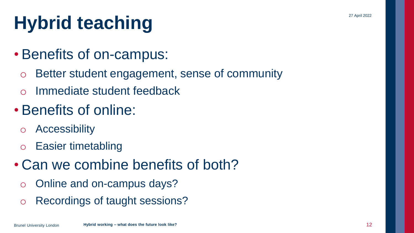# **Hybrid teaching**

- Benefits of on-campus:
	- o Better student engagement, sense of community
	- o Immediate student feedback
- Benefits of online:
	- o Accessibility
	- o Easier timetabling
- Can we combine benefits of both?
	- o Online and on-campus days?
	- o Recordings of taught sessions?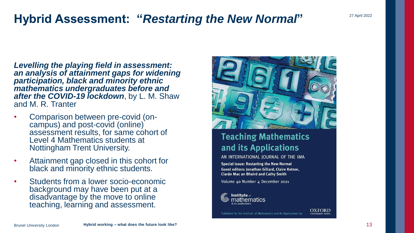### **Hybrid Assessment: "***Restarting the New Normal***"**

*Levelling the playing field in assessment: an analysis of attainment gaps for widening participation, black and minority ethnic mathematics undergraduates before and after the COVID-19 lockdown*, by L. M. Shaw and M. R. Tranter

- Comparison between pre-covid (oncampus) and post-covid (online) assessment results, for same cohort of Level 4 Mathematics students at Nottingham Trent University.
- Attainment gap closed in this cohort for black and minority ethnic students.
- Students from a lower socio-economic background may have been put at a disadvantage by the move to online teaching, learning and assessment.



#### **Teaching Mathematics** and its Applications

AN INTERNATIONAL JOURNAL OF THE IMA

Special issue: Restarting the New Normal Guest editors: Jonathan Gillard, Claire Ketnor, Ciarán Mac an Bhaird and Cathy Smith

Published for the Institute of Mathematics and its Applications by

Volume 40 Number 4 December 2021



**OXFORD** 

27 April 2022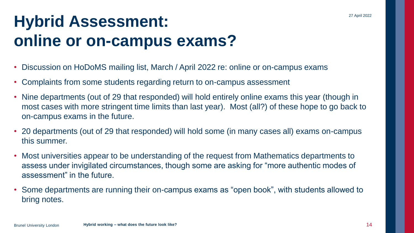### **Hybrid Assessment: online or on-campus exams?**

- Discussion on HoDoMS mailing list, March / April 2022 re: online or on-campus exams
- Complaints from some students regarding return to on-campus assessment
- Nine departments (out of 29 that responded) will hold entirely online exams this year (though in most cases with more stringent time limits than last year). Most (all?) of these hope to go back to on-campus exams in the future.
- 20 departments (out of 29 that responded) will hold some (in many cases all) exams on-campus this summer.
- Most universities appear to be understanding of the request from Mathematics departments to assess under invigilated circumstances, though some are asking for "more authentic modes of assessment" in the future.
- Some departments are running their on-campus exams as "open book", with students allowed to bring notes.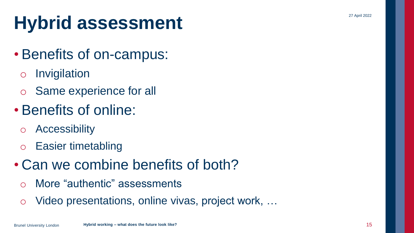27 April 2022

## **Hybrid assessment**

### • Benefits of on-campus:

- o Invigilation
- o Same experience for all

### • Benefits of online:

- o Accessibility
- o Easier timetabling
- Can we combine benefits of both?
	- o More "authentic" assessments
	- o Video presentations, online vivas, project work, …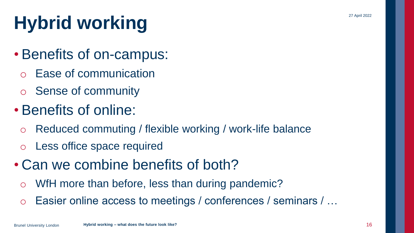# **Hybrid working**

- Benefits of on-campus:
	- **Ease of communication**
	- o Sense of community
- Benefits of online:
	- o Reduced commuting / flexible working / work-life balance
	- o Less office space required
- Can we combine benefits of both?
	- o WfH more than before, less than during pandemic?
	- o Easier online access to meetings / conferences / seminars / …